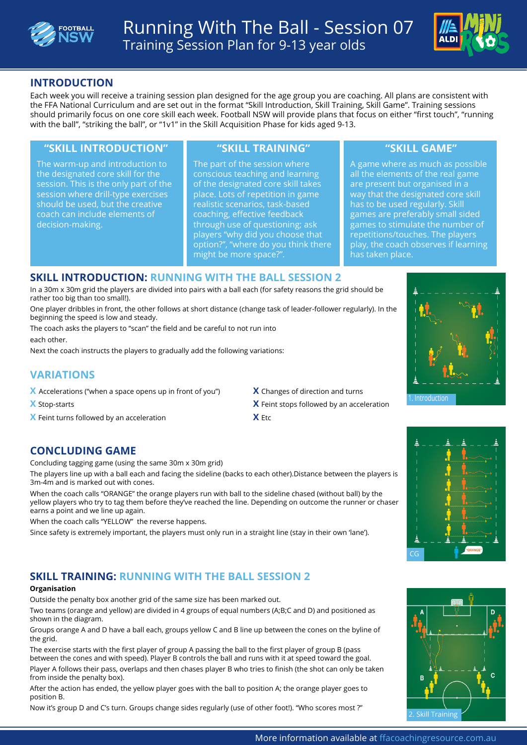



### **INTRODUCTION**

Each week you will receive a training session plan designed for the age group you are coaching. All plans are consistent with the FFA National Curriculum and are set out in the format "Skill Introduction, Skill Training, Skill Game". Training sessions should primarily focus on one core skill each week. Football NSW will provide plans that focus on either "first touch", "running with the ball", "striking the ball", or "1v1" in the Skill Acquisition Phase for kids aged 9-13.

#### **"SKILL INTRODUCTION" "SKILL TRAINING" "SKILL GAME"**

The warm-up and introduction to the designated core skill for the session. This is the only part of the session where drill-type exercises should be used, but the creative coach can include elements of decision-making.

The part of the session where conscious teaching and learning of the designated core skill takes place. Lots of repetition in game realistic scenarios, task-based coaching, effective feedback through use of questioning; ask players "why did you choose that option?", "where do you think there might be more space?".

A game where as much as possible all the elements of the real game are present but organised in a way that the designated core skill has to be used regularly. Skill games are preferably small sided games to stimulate the number of repetitions/touches. The players play, the coach observes if learning has taken place.

#### **SKILL INTRODUCTION: RUNNING WITH THE BALL SESSION 2**

In a 30m x 30m grid the players are divided into pairs with a ball each (for safety reasons the grid should be rather too big than too small!).

One player dribbles in front, the other follows at short distance (change task of leader-follower regularly). In the beginning the speed is low and steady.

The coach asks the players to "scan" the field and be careful to not run into each other.

Next the coach instructs the players to gradually add the following variations:

# **VARIATIONS**

- **X** Accelerations ("when a space opens up in front of you") **X** Changes of direction and turns
- 

**X** Feint turns followed by an acceleration **X** Etc

- 
- **X** Stop-starts **X** Feint stops followed by an acceleration

### **CONCLUDING GAME**

Concluding tagging game (using the same 30m x 30m grid)

The players line up with a ball each and facing the sideline (backs to each other).Distance between the players is 3m-4m and is marked out with cones.

When the coach calls "ORANGE" the orange players run with ball to the sideline chased (without ball) by the yellow players who try to tag them before they've reached the line. Depending on outcome the runner or chaser earns a point and we line up again.

When the coach calls "YELLOW" the reverse happens.

Since safety is extremely important, the players must only run in a straight line (stay in their own 'lane').

# **SKILL TRAINING: RUNNING WITH THE BALL SESSION 2**

#### **Organisation**

Outside the penalty box another grid of the same size has been marked out.

Two teams (orange and yellow) are divided in 4 groups of equal numbers (A;B;C and D) and positioned as shown in the diagram.

Groups orange A and D have a ball each, groups yellow C and B line up between the cones on the byline of the grid.

The exercise starts with the first player of group A passing the ball to the first player of group B (pass between the cones and with speed). Player B controls the ball and runs with it at speed toward the goal.

Player A follows their pass, overlaps and then chases player B who tries to finish (the shot can only be taken from inside the penalty box).

After the action has ended, the yellow player goes with the ball to position A; the orange player goes to position B.

Now it's group D and C's turn. Groups change sides regularly (use of other foot!). "Who scores most ?" 2. Skill Training